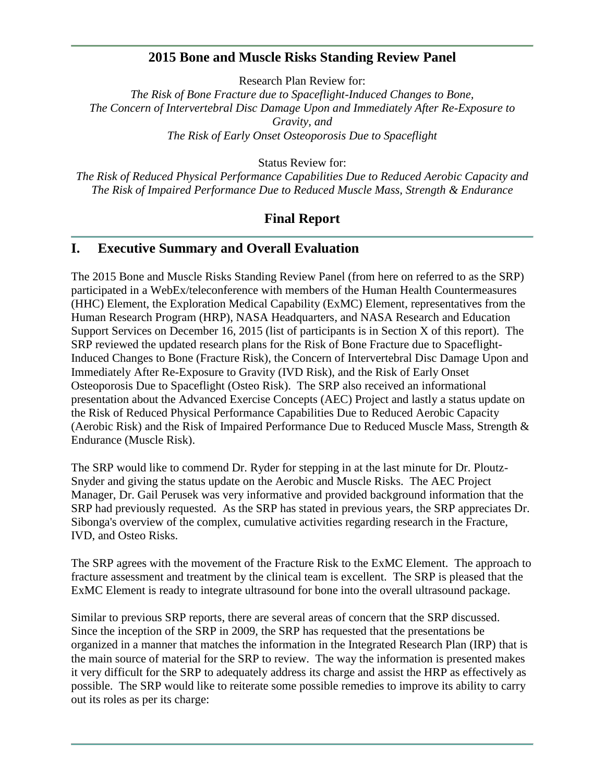## **2015 Bone and Muscle Risks Standing Review Panel**

Research Plan Review for: *The Risk of Bone Fracture due to Spaceflight-Induced Changes to Bone, The Concern of Intervertebral Disc Damage Upon and Immediately After Re-Exposure to Gravity, and The Risk of Early Onset Osteoporosis Due to Spaceflight*

Status Review for:

*The Risk of Reduced Physical Performance Capabilities Due to Reduced Aerobic Capacity and The Risk of Impaired Performance Due to Reduced Muscle Mass, Strength & Endurance*

# **Final Report**

## **I. Executive Summary and Overall Evaluation**

The 2015 Bone and Muscle Risks Standing Review Panel (from here on referred to as the SRP) participated in a WebEx/teleconference with members of the Human Health Countermeasures (HHC) Element, the Exploration Medical Capability (ExMC) Element, representatives from the Human Research Program (HRP), NASA Headquarters, and NASA Research and Education Support Services on December 16, 2015 (list of participants is in Section X of this report). The SRP reviewed the updated research plans for the Risk of Bone Fracture due to Spaceflight-Induced Changes to Bone (Fracture Risk), the Concern of Intervertebral Disc Damage Upon and Immediately After Re-Exposure to Gravity (IVD Risk), and the Risk of Early Onset Osteoporosis Due to Spaceflight (Osteo Risk). The SRP also received an informational presentation about the Advanced Exercise Concepts (AEC) Project and lastly a status update on the Risk of Reduced Physical Performance Capabilities Due to Reduced Aerobic Capacity (Aerobic Risk) and the Risk of Impaired Performance Due to Reduced Muscle Mass, Strength & Endurance (Muscle Risk).

The SRP would like to commend Dr. Ryder for stepping in at the last minute for Dr. Ploutz-Snyder and giving the status update on the Aerobic and Muscle Risks. The AEC Project Manager, Dr. Gail Perusek was very informative and provided background information that the SRP had previously requested. As the SRP has stated in previous years, the SRP appreciates Dr. Sibonga's overview of the complex, cumulative activities regarding research in the Fracture, IVD, and Osteo Risks.

The SRP agrees with the movement of the Fracture Risk to the ExMC Element. The approach to fracture assessment and treatment by the clinical team is excellent. The SRP is pleased that the ExMC Element is ready to integrate ultrasound for bone into the overall ultrasound package.

Similar to previous SRP reports, there are several areas of concern that the SRP discussed. Since the inception of the SRP in 2009, the SRP has requested that the presentations be organized in a manner that matches the information in the Integrated Research Plan (IRP) that is the main source of material for the SRP to review. The way the information is presented makes it very difficult for the SRP to adequately address its charge and assist the HRP as effectively as possible. The SRP would like to reiterate some possible remedies to improve its ability to carry out its roles as per its charge: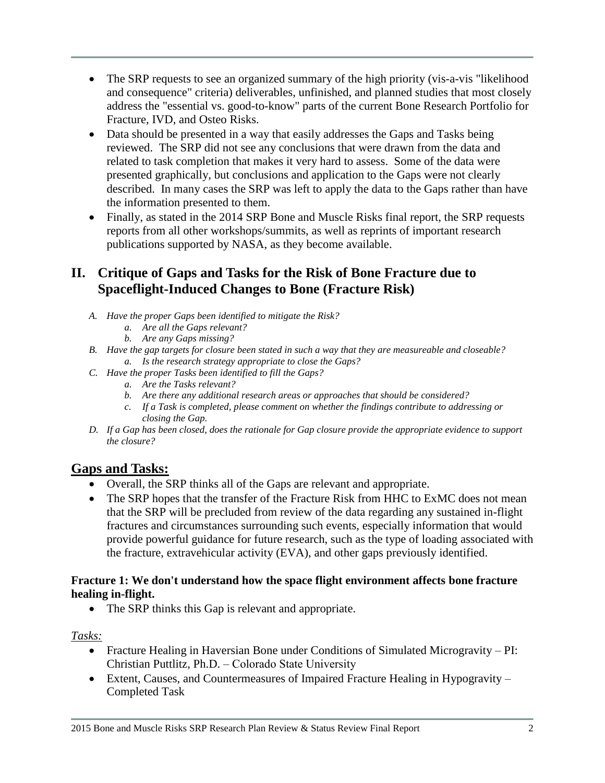- The SRP requests to see an organized summary of the high priority (vis-a-vis "likelihood" and consequence" criteria) deliverables, unfinished, and planned studies that most closely address the "essential vs. good-to-know" parts of the current Bone Research Portfolio for Fracture, IVD, and Osteo Risks.
- Data should be presented in a way that easily addresses the Gaps and Tasks being reviewed. The SRP did not see any conclusions that were drawn from the data and related to task completion that makes it very hard to assess. Some of the data were presented graphically, but conclusions and application to the Gaps were not clearly described. In many cases the SRP was left to apply the data to the Gaps rather than have the information presented to them.
- Finally, as stated in the 2014 SRP Bone and Muscle Risks final report, the SRP requests reports from all other workshops/summits, as well as reprints of important research publications supported by NASA, as they become available.

# **II. Critique of Gaps and Tasks for the Risk of Bone Fracture due to Spaceflight-Induced Changes to Bone (Fracture Risk)**

- *A. Have the proper Gaps been identified to mitigate the Risk?*
	- *a. Are all the Gaps relevant?*
	- *b. Are any Gaps missing?*
- *B. Have the gap targets for closure been stated in such a way that they are measureable and closeable? a. Is the research strategy appropriate to close the Gaps?*
- *C. Have the proper Tasks been identified to fill the Gaps?*
	- *a. Are the Tasks relevant?*
	- *b. Are there any additional research areas or approaches that should be considered?*
	- *c. If a Task is completed, please comment on whether the findings contribute to addressing or closing the Gap.*
- *D. If a Gap has been closed, does the rationale for Gap closure provide the appropriate evidence to support the closure?*

# **Gaps and Tasks:**

- Overall, the SRP thinks all of the Gaps are relevant and appropriate.
- The SRP hopes that the transfer of the Fracture Risk from HHC to ExMC does not mean that the SRP will be precluded from review of the data regarding any sustained in-flight fractures and circumstances surrounding such events, especially information that would provide powerful guidance for future research, such as the type of loading associated with the fracture, extravehicular activity (EVA), and other gaps previously identified.

#### **Fracture 1: We don't understand how the space flight environment affects bone fracture healing in-flight.**

• The SRP thinks this Gap is relevant and appropriate.

- Fracture Healing in Haversian Bone under Conditions of Simulated Microgravity PI: Christian Puttlitz, Ph.D. – Colorado State University
- Extent, Causes, and Countermeasures of Impaired Fracture Healing in Hypogravity Completed Task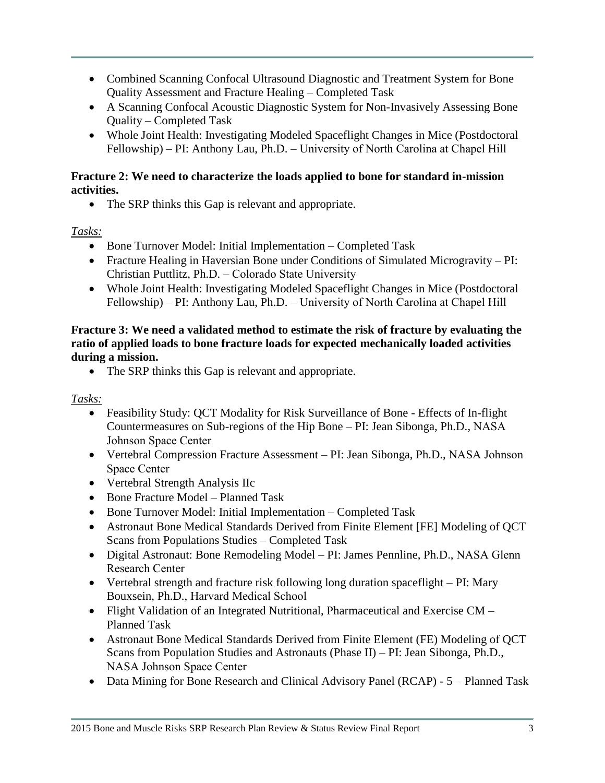- Combined Scanning Confocal Ultrasound Diagnostic and Treatment System for Bone Quality Assessment and Fracture Healing – Completed Task
- A Scanning Confocal Acoustic Diagnostic System for Non-Invasively Assessing Bone Quality – Completed Task
- Whole Joint Health: Investigating Modeled Spaceflight Changes in Mice (Postdoctoral Fellowship) – PI: Anthony Lau, Ph.D. – University of North Carolina at Chapel Hill

#### **Fracture 2: We need to characterize the loads applied to bone for standard in-mission activities.**

• The SRP thinks this Gap is relevant and appropriate.

## *Tasks:*

- Bone Turnover Model: Initial Implementation Completed Task
- Fracture Healing in Haversian Bone under Conditions of Simulated Microgravity PI: Christian Puttlitz, Ph.D. – Colorado State University
- Whole Joint Health: Investigating Modeled Spaceflight Changes in Mice (Postdoctoral Fellowship) – PI: Anthony Lau, Ph.D. – University of North Carolina at Chapel Hill

#### **Fracture 3: We need a validated method to estimate the risk of fracture by evaluating the ratio of applied loads to bone fracture loads for expected mechanically loaded activities during a mission.**

• The SRP thinks this Gap is relevant and appropriate.

- Feasibility Study: QCT Modality for Risk Surveillance of Bone Effects of In-flight Countermeasures on Sub-regions of the Hip Bone – PI: Jean Sibonga, Ph.D., NASA Johnson Space Center
- Vertebral Compression Fracture Assessment PI: Jean Sibonga, Ph.D., NASA Johnson Space Center
- Vertebral Strength Analysis IIc
- Bone Fracture Model Planned Task
- Bone Turnover Model: Initial Implementation Completed Task
- Astronaut Bone Medical Standards Derived from Finite Element [FE] Modeling of QCT Scans from Populations Studies – Completed Task
- Digital Astronaut: Bone Remodeling Model PI: James Pennline, Ph.D., NASA Glenn Research Center
- Vertebral strength and fracture risk following long duration spaceflight PI: Mary Bouxsein, Ph.D., Harvard Medical School
- Flight Validation of an Integrated Nutritional, Pharmaceutical and Exercise CM Planned Task
- Astronaut Bone Medical Standards Derived from Finite Element (FE) Modeling of QCT Scans from Population Studies and Astronauts (Phase II) – PI: Jean Sibonga, Ph.D., NASA Johnson Space Center
- Data Mining for Bone Research and Clinical Advisory Panel (RCAP) 5 Planned Task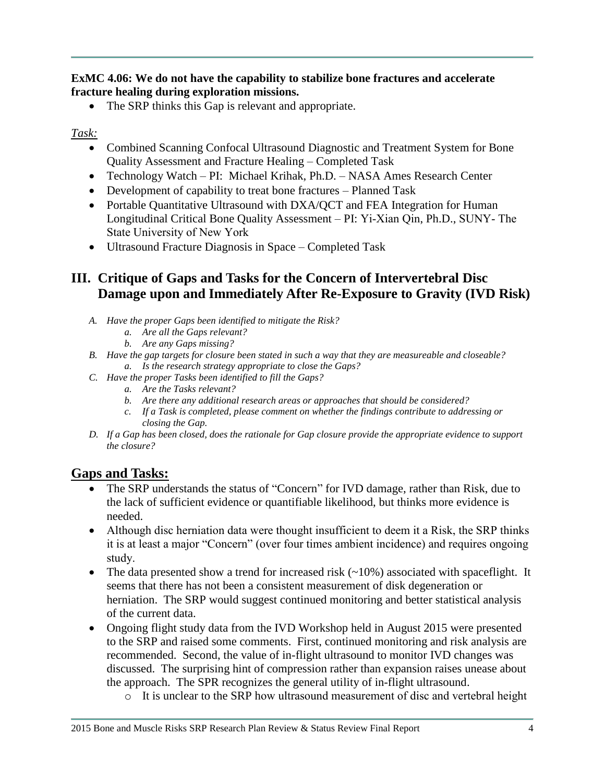#### **ExMC 4.06: We do not have the capability to stabilize bone fractures and accelerate fracture healing during exploration missions.**

• The SRP thinks this Gap is relevant and appropriate.

#### *Task:*

- Combined Scanning Confocal Ultrasound Diagnostic and Treatment System for Bone Quality Assessment and Fracture Healing – Completed Task
- Technology Watch PI: Michael Krihak, Ph.D. NASA Ames Research Center
- Development of capability to treat bone fractures Planned Task
- Portable Quantitative Ultrasound with DXA/QCT and FEA Integration for Human Longitudinal Critical Bone Quality Assessment – PI: Yi-Xian Qin, Ph.D., SUNY- The State University of New York
- Ultrasound Fracture Diagnosis in Space Completed Task

# **III. Critique of Gaps and Tasks for the Concern of Intervertebral Disc Damage upon and Immediately After Re-Exposure to Gravity (IVD Risk)**

- *A. Have the proper Gaps been identified to mitigate the Risk?*
	- *a. Are all the Gaps relevant?*
	- *b. Are any Gaps missing?*
- *B. Have the gap targets for closure been stated in such a way that they are measureable and closeable? a. Is the research strategy appropriate to close the Gaps?*
- *C. Have the proper Tasks been identified to fill the Gaps?*
	- *a. Are the Tasks relevant?*
	- *b. Are there any additional research areas or approaches that should be considered?*
	- *c. If a Task is completed, please comment on whether the findings contribute to addressing or closing the Gap.*
- *D. If a Gap has been closed, does the rationale for Gap closure provide the appropriate evidence to support the closure?*

# **Gaps and Tasks:**

- The SRP understands the status of "Concern" for IVD damage, rather than Risk, due to the lack of sufficient evidence or quantifiable likelihood, but thinks more evidence is needed.
- Although disc herniation data were thought insufficient to deem it a Risk, the SRP thinks it is at least a major "Concern" (over four times ambient incidence) and requires ongoing study.
- The data presented show a trend for increased risk  $(\sim 10\%)$  associated with spaceflight. It seems that there has not been a consistent measurement of disk degeneration or herniation. The SRP would suggest continued monitoring and better statistical analysis of the current data.
- Ongoing flight study data from the IVD Workshop held in August 2015 were presented to the SRP and raised some comments. First, continued monitoring and risk analysis are recommended. Second, the value of in-flight ultrasound to monitor IVD changes was discussed. The surprising hint of compression rather than expansion raises unease about the approach. The SPR recognizes the general utility of in-flight ultrasound.
	- o It is unclear to the SRP how ultrasound measurement of disc and vertebral height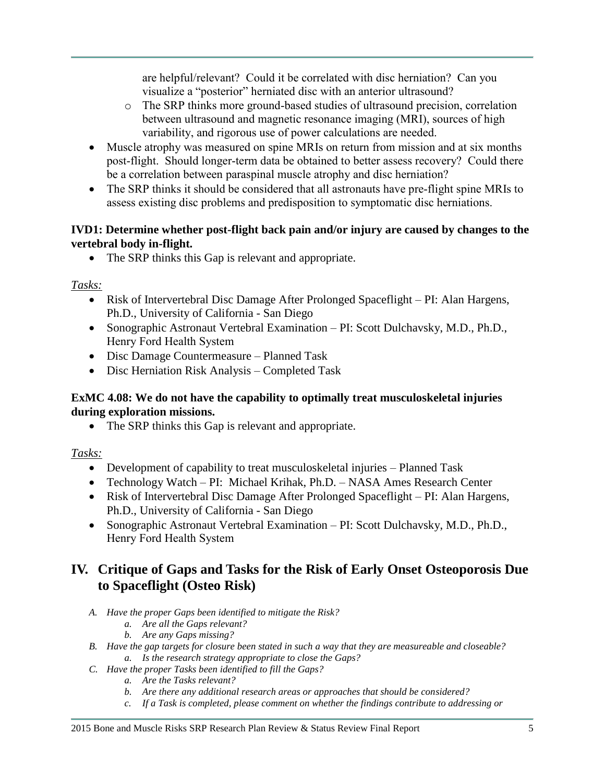are helpful/relevant? Could it be correlated with disc herniation? Can you visualize a "posterior" herniated disc with an anterior ultrasound?

- o The SRP thinks more ground-based studies of ultrasound precision, correlation between ultrasound and magnetic resonance imaging (MRI), sources of high variability, and rigorous use of power calculations are needed.
- Muscle atrophy was measured on spine MRIs on return from mission and at six months post-flight. Should longer-term data be obtained to better assess recovery? Could there be a correlation between paraspinal muscle atrophy and disc herniation?
- The SRP thinks it should be considered that all astronauts have pre-flight spine MRIs to assess existing disc problems and predisposition to symptomatic disc herniations.

#### **IVD1: Determine whether post-flight back pain and/or injury are caused by changes to the vertebral body in-flight.**

• The SRP thinks this Gap is relevant and appropriate.

*Tasks:*

- Risk of Intervertebral Disc Damage After Prolonged Spaceflight PI: Alan Hargens, Ph.D., University of California - San Diego
- Sonographic Astronaut Vertebral Examination PI: Scott Dulchavsky, M.D., Ph.D., Henry Ford Health System
- Disc Damage Countermeasure Planned Task
- Disc Herniation Risk Analysis Completed Task

## **ExMC 4.08: We do not have the capability to optimally treat musculoskeletal injuries during exploration missions.**

• The SRP thinks this Gap is relevant and appropriate.

# *Tasks:*

- Development of capability to treat musculoskeletal injuries Planned Task
- Technology Watch PI: Michael Krihak, Ph.D. NASA Ames Research Center
- Risk of Intervertebral Disc Damage After Prolonged Spaceflight PI: Alan Hargens, Ph.D., University of California - San Diego
- Sonographic Astronaut Vertebral Examination PI: Scott Dulchavsky, M.D., Ph.D., Henry Ford Health System

# **IV. Critique of Gaps and Tasks for the Risk of Early Onset Osteoporosis Due to Spaceflight (Osteo Risk)**

- *A. Have the proper Gaps been identified to mitigate the Risk?*
	- *a. Are all the Gaps relevant?*
	- *b. Are any Gaps missing?*
- *B. Have the gap targets for closure been stated in such a way that they are measureable and closeable? a. Is the research strategy appropriate to close the Gaps?*
- *C. Have the proper Tasks been identified to fill the Gaps?*
	- *a. Are the Tasks relevant?*
	- *b. Are there any additional research areas or approaches that should be considered?*
	- *c. If a Task is completed, please comment on whether the findings contribute to addressing or*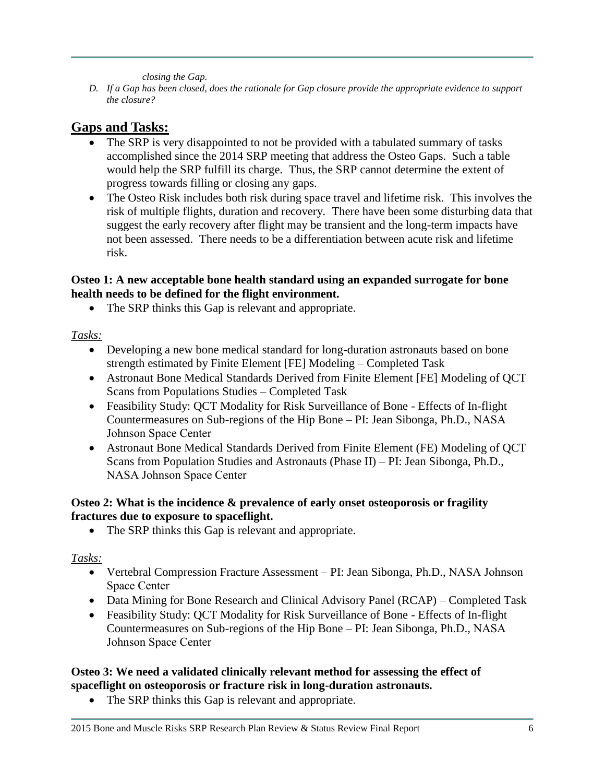#### *closing the Gap.*

*D. If a Gap has been closed, does the rationale for Gap closure provide the appropriate evidence to support the closure?*

# **Gaps and Tasks:**

- The SRP is very disappointed to not be provided with a tabulated summary of tasks accomplished since the 2014 SRP meeting that address the Osteo Gaps. Such a table would help the SRP fulfill its charge. Thus, the SRP cannot determine the extent of progress towards filling or closing any gaps.
- The Osteo Risk includes both risk during space travel and lifetime risk. This involves the risk of multiple flights, duration and recovery. There have been some disturbing data that suggest the early recovery after flight may be transient and the long-term impacts have not been assessed. There needs to be a differentiation between acute risk and lifetime risk.

#### **Osteo 1: A new acceptable bone health standard using an expanded surrogate for bone health needs to be defined for the flight environment.**

• The SRP thinks this Gap is relevant and appropriate.

#### *Tasks:*

- Developing a new bone medical standard for long-duration astronauts based on bone strength estimated by Finite Element [FE] Modeling – Completed Task
- Astronaut Bone Medical Standards Derived from Finite Element [FE] Modeling of QCT Scans from Populations Studies – Completed Task
- Feasibility Study: QCT Modality for Risk Surveillance of Bone Effects of In-flight Countermeasures on Sub-regions of the Hip Bone – PI: Jean Sibonga, Ph.D., NASA Johnson Space Center
- Astronaut Bone Medical Standards Derived from Finite Element (FE) Modeling of QCT Scans from Population Studies and Astronauts (Phase II) – PI: Jean Sibonga, Ph.D., NASA Johnson Space Center

#### **Osteo 2: What is the incidence & prevalence of early onset osteoporosis or fragility fractures due to exposure to spaceflight.**

• The SRP thinks this Gap is relevant and appropriate.

## *Tasks:*

- Vertebral Compression Fracture Assessment PI: Jean Sibonga, Ph.D., NASA Johnson Space Center
- Data Mining for Bone Research and Clinical Advisory Panel (RCAP) Completed Task
- Feasibility Study: QCT Modality for Risk Surveillance of Bone Effects of In-flight Countermeasures on Sub-regions of the Hip Bone – PI: Jean Sibonga, Ph.D., NASA Johnson Space Center

## **Osteo 3: We need a validated clinically relevant method for assessing the effect of spaceflight on osteoporosis or fracture risk in long-duration astronauts.**

• The SRP thinks this Gap is relevant and appropriate.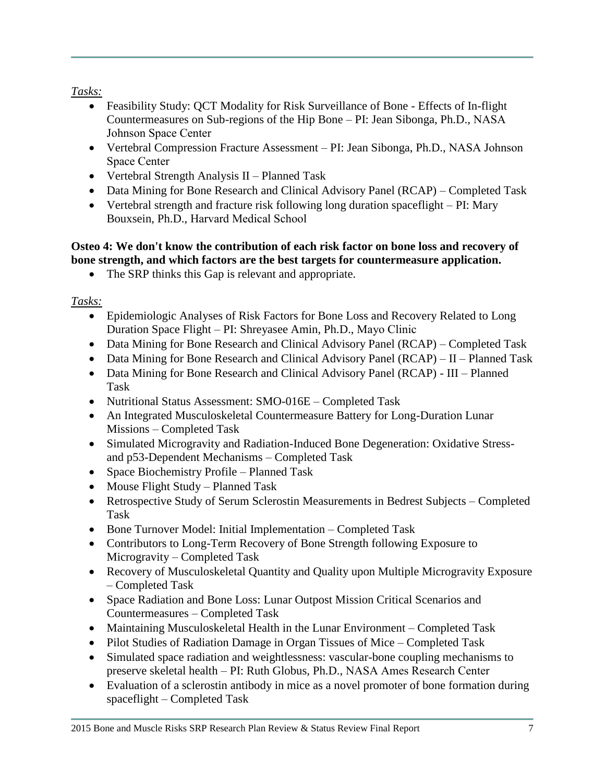# *Tasks:*

- Feasibility Study: QCT Modality for Risk Surveillance of Bone Effects of In-flight Countermeasures on Sub-regions of the Hip Bone – PI: Jean Sibonga, Ph.D., NASA Johnson Space Center
- Vertebral Compression Fracture Assessment PI: Jean Sibonga, Ph.D., NASA Johnson Space Center
- Vertebral Strength Analysis II Planned Task
- Data Mining for Bone Research and Clinical Advisory Panel (RCAP) Completed Task
- Vertebral strength and fracture risk following long duration spaceflight PI: Mary Bouxsein, Ph.D., Harvard Medical School

# **Osteo 4: We don't know the contribution of each risk factor on bone loss and recovery of bone strength, and which factors are the best targets for countermeasure application.**

• The SRP thinks this Gap is relevant and appropriate.

- Epidemiologic Analyses of Risk Factors for Bone Loss and Recovery Related to Long Duration Space Flight – PI: Shreyasee Amin, Ph.D., Mayo Clinic
- Data Mining for Bone Research and Clinical Advisory Panel (RCAP) Completed Task
- Data Mining for Bone Research and Clinical Advisory Panel (RCAP) II Planned Task
- Data Mining for Bone Research and Clinical Advisory Panel (RCAP) III Planned Task
- Nutritional Status Assessment: SMO-016E Completed Task
- An Integrated Musculoskeletal Countermeasure Battery for Long-Duration Lunar Missions – Completed Task
- Simulated Microgravity and Radiation-Induced Bone Degeneration: Oxidative Stressand p53-Dependent Mechanisms – Completed Task
- Space Biochemistry Profile Planned Task
- Mouse Flight Study Planned Task
- Retrospective Study of Serum Sclerostin Measurements in Bedrest Subjects Completed Task
- Bone Turnover Model: Initial Implementation Completed Task
- Contributors to Long-Term Recovery of Bone Strength following Exposure to Microgravity – Completed Task
- Recovery of Musculoskeletal Quantity and Quality upon Multiple Microgravity Exposure – Completed Task
- Space Radiation and Bone Loss: Lunar Outpost Mission Critical Scenarios and Countermeasures – Completed Task
- Maintaining Musculoskeletal Health in the Lunar Environment Completed Task
- Pilot Studies of Radiation Damage in Organ Tissues of Mice Completed Task
- Simulated space radiation and weightlessness: vascular-bone coupling mechanisms to preserve skeletal health – PI: Ruth Globus, Ph.D., NASA Ames Research Center
- Evaluation of a sclerostin antibody in mice as a novel promoter of bone formation during spaceflight – Completed Task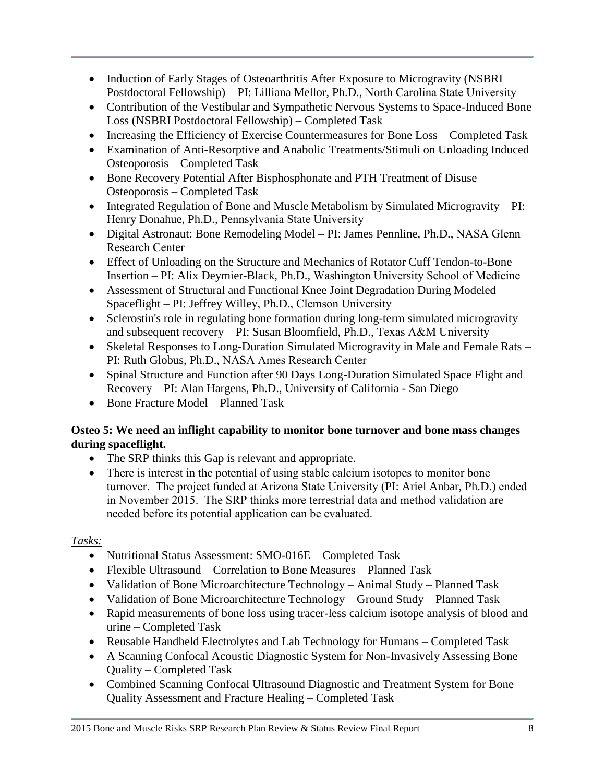- Induction of Early Stages of Osteoarthritis After Exposure to Microgravity (NSBRI Postdoctoral Fellowship) – PI: Lilliana Mellor, Ph.D., North Carolina State University
- Contribution of the Vestibular and Sympathetic Nervous Systems to Space-Induced Bone Loss (NSBRI Postdoctoral Fellowship) – Completed Task
- Increasing the Efficiency of Exercise Countermeasures for Bone Loss Completed Task
- Examination of Anti-Resorptive and Anabolic Treatments/Stimuli on Unloading Induced Osteoporosis – Completed Task
- Bone Recovery Potential After Bisphosphonate and PTH Treatment of Disuse Osteoporosis – Completed Task
- Integrated Regulation of Bone and Muscle Metabolism by Simulated Microgravity PI: Henry Donahue, Ph.D., Pennsylvania State University
- Digital Astronaut: Bone Remodeling Model PI: James Pennline, Ph.D., NASA Glenn Research Center
- Effect of Unloading on the Structure and Mechanics of Rotator Cuff Tendon-to-Bone Insertion – PI: Alix Deymier-Black, Ph.D., Washington University School of Medicine
- Assessment of Structural and Functional Knee Joint Degradation During Modeled Spaceflight – PI: Jeffrey Willey, Ph.D., Clemson University
- Sclerostin's role in regulating bone formation during long-term simulated microgravity and subsequent recovery – PI: Susan Bloomfield, Ph.D., Texas A&M University
- Skeletal Responses to Long-Duration Simulated Microgravity in Male and Female Rats PI: Ruth Globus, Ph.D., NASA Ames Research Center
- Spinal Structure and Function after 90 Days Long-Duration Simulated Space Flight and Recovery – PI: Alan Hargens, Ph.D., University of California - San Diego
- Bone Fracture Model Planned Task

## **Osteo 5: We need an inflight capability to monitor bone turnover and bone mass changes during spaceflight.**

- The SRP thinks this Gap is relevant and appropriate.
- There is interest in the potential of using stable calcium isotopes to monitor bone turnover. The project funded at Arizona State University (PI: Ariel Anbar, Ph.D.) ended in November 2015. The SRP thinks more terrestrial data and method validation are needed before its potential application can be evaluated.

- Nutritional Status Assessment: SMO-016E Completed Task
- Flexible Ultrasound Correlation to Bone Measures Planned Task
- Validation of Bone Microarchitecture Technology Animal Study Planned Task
- Validation of Bone Microarchitecture Technology Ground Study Planned Task
- Rapid measurements of bone loss using tracer-less calcium isotope analysis of blood and urine – Completed Task
- Reusable Handheld Electrolytes and Lab Technology for Humans Completed Task
- A Scanning Confocal Acoustic Diagnostic System for Non-Invasively Assessing Bone Quality – Completed Task
- Combined Scanning Confocal Ultrasound Diagnostic and Treatment System for Bone Quality Assessment and Fracture Healing – Completed Task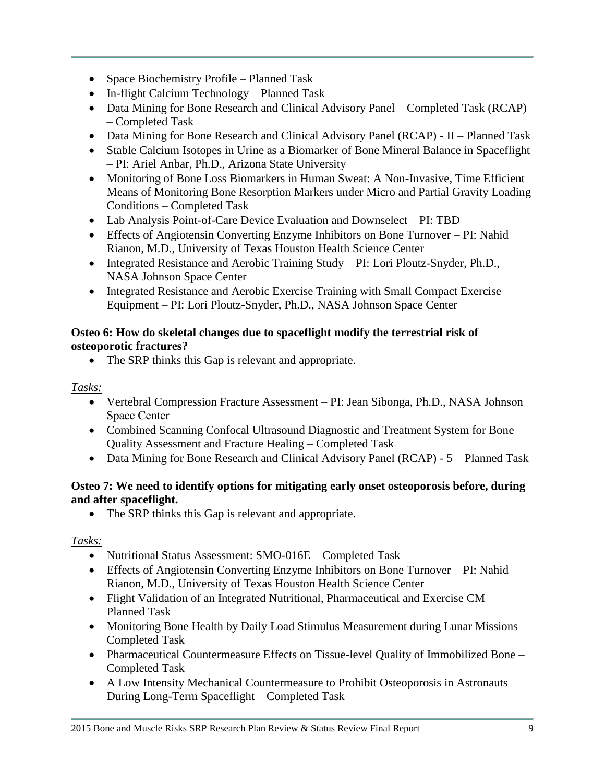- Space Biochemistry Profile Planned Task
- In-flight Calcium Technology Planned Task
- Data Mining for Bone Research and Clinical Advisory Panel Completed Task (RCAP) – Completed Task
- Data Mining for Bone Research and Clinical Advisory Panel (RCAP) II Planned Task
- Stable Calcium Isotopes in Urine as a Biomarker of Bone Mineral Balance in Spaceflight – PI: Ariel Anbar, Ph.D., Arizona State University
- Monitoring of Bone Loss Biomarkers in Human Sweat: A Non-Invasive, Time Efficient Means of Monitoring Bone Resorption Markers under Micro and Partial Gravity Loading Conditions – Completed Task
- Lab Analysis Point-of-Care Device Evaluation and Downselect PI: TBD
- Effects of Angiotensin Converting Enzyme Inhibitors on Bone Turnover PI: Nahid Rianon, M.D., University of Texas Houston Health Science Center
- Integrated Resistance and Aerobic Training Study PI: Lori Ploutz-Snyder, Ph.D., NASA Johnson Space Center
- Integrated Resistance and Aerobic Exercise Training with Small Compact Exercise Equipment – PI: Lori Ploutz-Snyder, Ph.D., NASA Johnson Space Center

#### **Osteo 6: How do skeletal changes due to spaceflight modify the terrestrial risk of osteoporotic fractures?**

• The SRP thinks this Gap is relevant and appropriate.

## *Tasks:*

- Vertebral Compression Fracture Assessment PI: Jean Sibonga, Ph.D., NASA Johnson Space Center
- Combined Scanning Confocal Ultrasound Diagnostic and Treatment System for Bone Quality Assessment and Fracture Healing – Completed Task
- Data Mining for Bone Research and Clinical Advisory Panel (RCAP) 5 Planned Task

## **Osteo 7: We need to identify options for mitigating early onset osteoporosis before, during and after spaceflight.**

• The SRP thinks this Gap is relevant and appropriate.

- Nutritional Status Assessment: SMO-016E Completed Task
- Effects of Angiotensin Converting Enzyme Inhibitors on Bone Turnover PI: Nahid Rianon, M.D., University of Texas Houston Health Science Center
- Flight Validation of an Integrated Nutritional, Pharmaceutical and Exercise CM Planned Task
- Monitoring Bone Health by Daily Load Stimulus Measurement during Lunar Missions Completed Task
- Pharmaceutical Countermeasure Effects on Tissue-level Quality of Immobilized Bone Completed Task
- A Low Intensity Mechanical Countermeasure to Prohibit Osteoporosis in Astronauts During Long-Term Spaceflight – Completed Task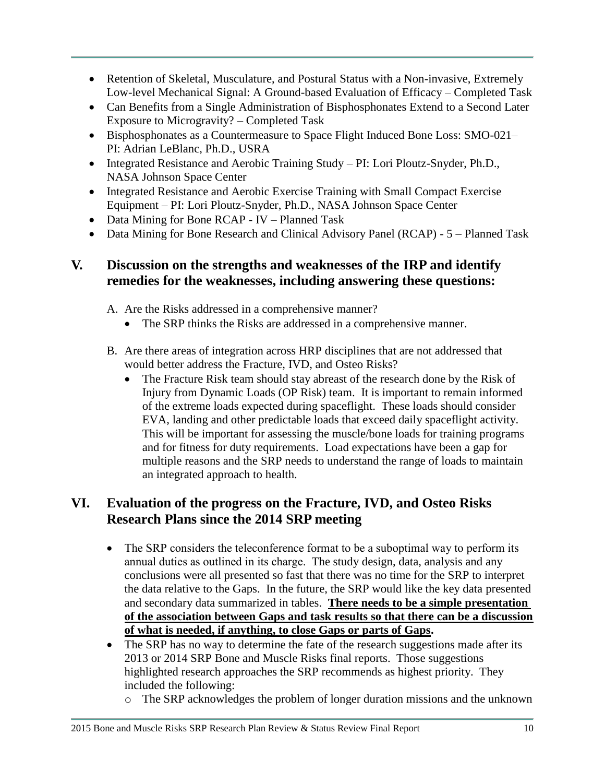- Retention of Skeletal, Musculature, and Postural Status with a Non-invasive, Extremely Low-level Mechanical Signal: A Ground-based Evaluation of Efficacy – Completed Task
- Can Benefits from a Single Administration of Bisphosphonates Extend to a Second Later Exposure to Microgravity? – Completed Task
- Bisphosphonates as a Countermeasure to Space Flight Induced Bone Loss: SMO-021– PI: Adrian LeBlanc, Ph.D., USRA
- Integrated Resistance and Aerobic Training Study PI: Lori Ploutz-Snyder, Ph.D., NASA Johnson Space Center
- Integrated Resistance and Aerobic Exercise Training with Small Compact Exercise Equipment – PI: Lori Ploutz-Snyder, Ph.D., NASA Johnson Space Center
- Data Mining for Bone RCAP IV Planned Task
- Data Mining for Bone Research and Clinical Advisory Panel (RCAP) 5 Planned Task

# **V. Discussion on the strengths and weaknesses of the IRP and identify remedies for the weaknesses, including answering these questions:**

A. Are the Risks addressed in a comprehensive manner?

- The SRP thinks the Risks are addressed in a comprehensive manner.
- B. Are there areas of integration across HRP disciplines that are not addressed that would better address the Fracture, IVD, and Osteo Risks?
	- The Fracture Risk team should stay abreast of the research done by the Risk of Injury from Dynamic Loads (OP Risk) team. It is important to remain informed of the extreme loads expected during spaceflight. These loads should consider EVA, landing and other predictable loads that exceed daily spaceflight activity. This will be important for assessing the muscle/bone loads for training programs and for fitness for duty requirements. Load expectations have been a gap for multiple reasons and the SRP needs to understand the range of loads to maintain an integrated approach to health.

# **VI. Evaluation of the progress on the Fracture, IVD, and Osteo Risks Research Plans since the 2014 SRP meeting**

- The SRP considers the teleconference format to be a suboptimal way to perform its annual duties as outlined in its charge. The study design, data, analysis and any conclusions were all presented so fast that there was no time for the SRP to interpret the data relative to the Gaps. In the future, the SRP would like the key data presented and secondary data summarized in tables. **There needs to be a simple presentation of the association between Gaps and task results so that there can be a discussion of what is needed, if anything, to close Gaps or parts of Gaps.**
- The SRP has no way to determine the fate of the research suggestions made after its 2013 or 2014 SRP Bone and Muscle Risks final reports. Those suggestions highlighted research approaches the SRP recommends as highest priority. They included the following:
	- o The SRP acknowledges the problem of longer duration missions and the unknown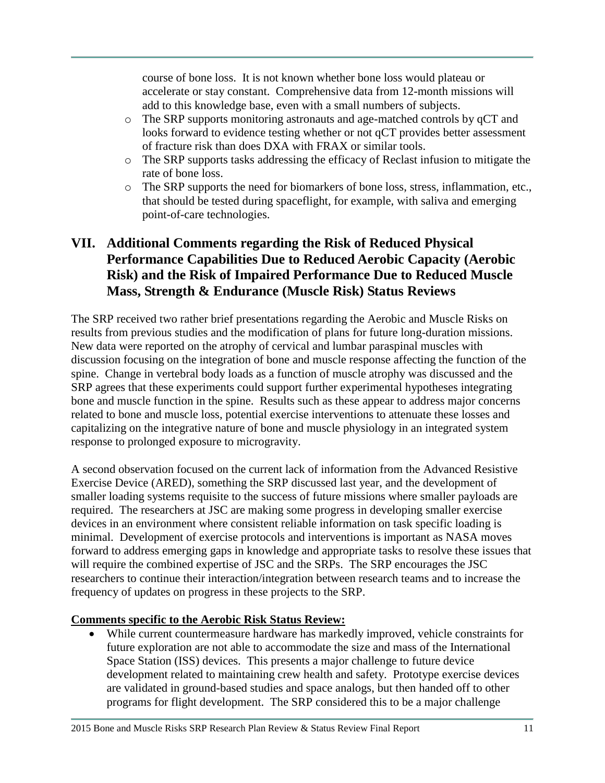course of bone loss. It is not known whether bone loss would plateau or accelerate or stay constant. Comprehensive data from 12-month missions will add to this knowledge base, even with a small numbers of subjects.

- o The SRP supports monitoring astronauts and age-matched controls by qCT and looks forward to evidence testing whether or not qCT provides better assessment of fracture risk than does DXA with FRAX or similar tools.
- o The SRP supports tasks addressing the efficacy of Reclast infusion to mitigate the rate of bone loss.
- o The SRP supports the need for biomarkers of bone loss, stress, inflammation, etc., that should be tested during spaceflight, for example, with saliva and emerging point-of-care technologies.

# **VII. Additional Comments regarding the Risk of Reduced Physical Performance Capabilities Due to Reduced Aerobic Capacity (Aerobic Risk) and the Risk of Impaired Performance Due to Reduced Muscle Mass, Strength & Endurance (Muscle Risk) Status Reviews**

The SRP received two rather brief presentations regarding the Aerobic and Muscle Risks on results from previous studies and the modification of plans for future long-duration missions. New data were reported on the atrophy of cervical and lumbar paraspinal muscles with discussion focusing on the integration of bone and muscle response affecting the function of the spine. Change in vertebral body loads as a function of muscle atrophy was discussed and the SRP agrees that these experiments could support further experimental hypotheses integrating bone and muscle function in the spine. Results such as these appear to address major concerns related to bone and muscle loss, potential exercise interventions to attenuate these losses and capitalizing on the integrative nature of bone and muscle physiology in an integrated system response to prolonged exposure to microgravity.

A second observation focused on the current lack of information from the Advanced Resistive Exercise Device (ARED), something the SRP discussed last year, and the development of smaller loading systems requisite to the success of future missions where smaller payloads are required. The researchers at JSC are making some progress in developing smaller exercise devices in an environment where consistent reliable information on task specific loading is minimal. Development of exercise protocols and interventions is important as NASA moves forward to address emerging gaps in knowledge and appropriate tasks to resolve these issues that will require the combined expertise of JSC and the SRPs. The SRP encourages the JSC researchers to continue their interaction/integration between research teams and to increase the frequency of updates on progress in these projects to the SRP.

## **Comments specific to the Aerobic Risk Status Review:**

 While current countermeasure hardware has markedly improved, vehicle constraints for future exploration are not able to accommodate the size and mass of the International Space Station (ISS) devices. This presents a major challenge to future device development related to maintaining crew health and safety. Prototype exercise devices are validated in ground-based studies and space analogs, but then handed off to other programs for flight development. The SRP considered this to be a major challenge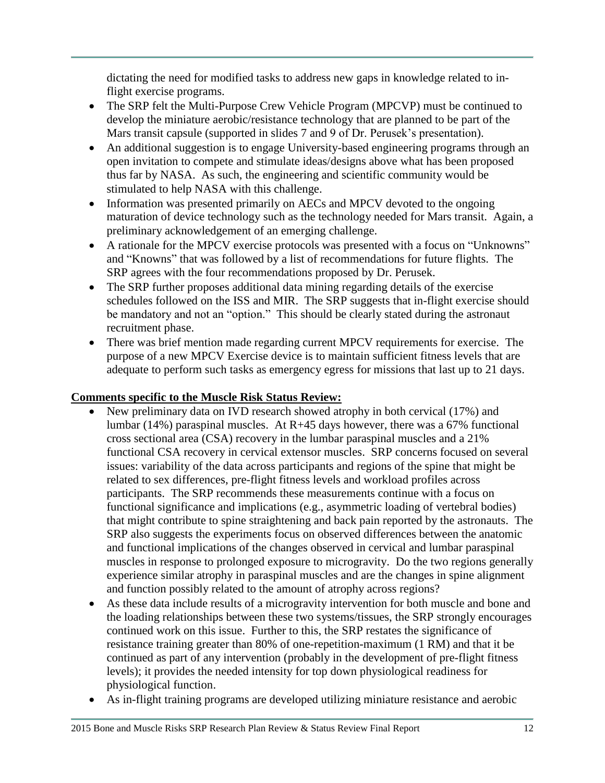dictating the need for modified tasks to address new gaps in knowledge related to inflight exercise programs.

- The SRP felt the Multi-Purpose Crew Vehicle Program (MPCVP) must be continued to develop the miniature aerobic/resistance technology that are planned to be part of the Mars transit capsule (supported in slides 7 and 9 of Dr. Perusek's presentation).
- An additional suggestion is to engage University-based engineering programs through an open invitation to compete and stimulate ideas/designs above what has been proposed thus far by NASA. As such, the engineering and scientific community would be stimulated to help NASA with this challenge.
- Information was presented primarily on AECs and MPCV devoted to the ongoing maturation of device technology such as the technology needed for Mars transit. Again, a preliminary acknowledgement of an emerging challenge.
- A rationale for the MPCV exercise protocols was presented with a focus on "Unknowns" and "Knowns" that was followed by a list of recommendations for future flights. The SRP agrees with the four recommendations proposed by Dr. Perusek.
- The SRP further proposes additional data mining regarding details of the exercise schedules followed on the ISS and MIR. The SRP suggests that in-flight exercise should be mandatory and not an "option." This should be clearly stated during the astronaut recruitment phase.
- There was brief mention made regarding current MPCV requirements for exercise. The purpose of a new MPCV Exercise device is to maintain sufficient fitness levels that are adequate to perform such tasks as emergency egress for missions that last up to 21 days.

## **Comments specific to the Muscle Risk Status Review:**

- New preliminary data on IVD research showed atrophy in both cervical (17%) and lumbar (14%) paraspinal muscles. At  $R+45$  days however, there was a 67% functional cross sectional area (CSA) recovery in the lumbar paraspinal muscles and a 21% functional CSA recovery in cervical extensor muscles. SRP concerns focused on several issues: variability of the data across participants and regions of the spine that might be related to sex differences, pre-flight fitness levels and workload profiles across participants. The SRP recommends these measurements continue with a focus on functional significance and implications (e.g., asymmetric loading of vertebral bodies) that might contribute to spine straightening and back pain reported by the astronauts. The SRP also suggests the experiments focus on observed differences between the anatomic and functional implications of the changes observed in cervical and lumbar paraspinal muscles in response to prolonged exposure to microgravity. Do the two regions generally experience similar atrophy in paraspinal muscles and are the changes in spine alignment and function possibly related to the amount of atrophy across regions?
- As these data include results of a microgravity intervention for both muscle and bone and the loading relationships between these two systems/tissues, the SRP strongly encourages continued work on this issue. Further to this, the SRP restates the significance of resistance training greater than 80% of one-repetition-maximum (1 RM) and that it be continued as part of any intervention (probably in the development of pre-flight fitness levels); it provides the needed intensity for top down physiological readiness for physiological function.
- As in-flight training programs are developed utilizing miniature resistance and aerobic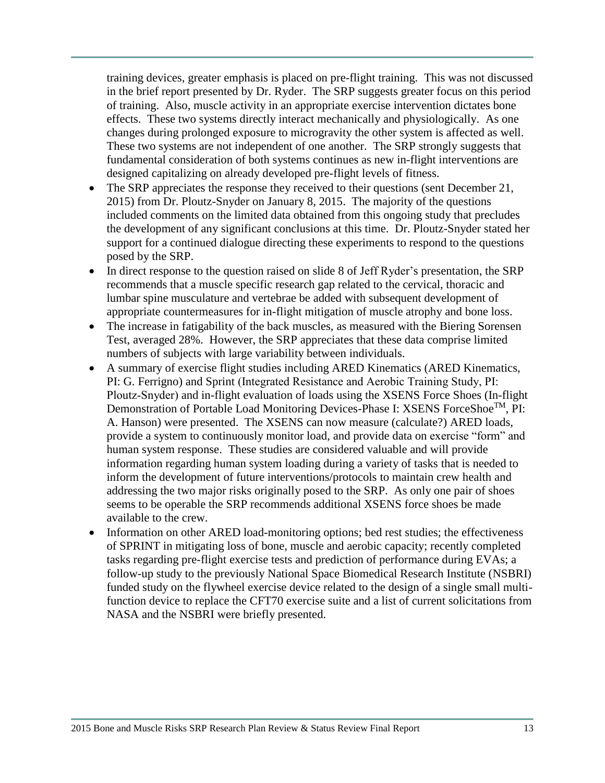training devices, greater emphasis is placed on pre-flight training. This was not discussed in the brief report presented by Dr. Ryder. The SRP suggests greater focus on this period of training. Also, muscle activity in an appropriate exercise intervention dictates bone effects. These two systems directly interact mechanically and physiologically. As one changes during prolonged exposure to microgravity the other system is affected as well. These two systems are not independent of one another. The SRP strongly suggests that fundamental consideration of both systems continues as new in-flight interventions are designed capitalizing on already developed pre-flight levels of fitness.

- The SRP appreciates the response they received to their questions (sent December 21, 2015) from Dr. Ploutz-Snyder on January 8, 2015. The majority of the questions included comments on the limited data obtained from this ongoing study that precludes the development of any significant conclusions at this time. Dr. Ploutz-Snyder stated her support for a continued dialogue directing these experiments to respond to the questions posed by the SRP.
- In direct response to the question raised on slide 8 of Jeff Ryder's presentation, the SRP recommends that a muscle specific research gap related to the cervical, thoracic and lumbar spine musculature and vertebrae be added with subsequent development of appropriate countermeasures for in-flight mitigation of muscle atrophy and bone loss.
- The increase in fatigability of the back muscles, as measured with the Biering Sorensen Test, averaged 28%. However, the SRP appreciates that these data comprise limited numbers of subjects with large variability between individuals.
- A summary of exercise flight studies including ARED Kinematics (ARED Kinematics, PI: G. Ferrigno) and Sprint (Integrated Resistance and Aerobic Training Study, PI: Ploutz-Snyder) and in-flight evaluation of loads using the XSENS Force Shoes (In-flight Demonstration of Portable Load Monitoring Devices-Phase I: XSENS ForceShoe™, PI: A. Hanson) were presented. The XSENS can now measure (calculate?) ARED loads, provide a system to continuously monitor load, and provide data on exercise "form" and human system response. These studies are considered valuable and will provide information regarding human system loading during a variety of tasks that is needed to inform the development of future interventions/protocols to maintain crew health and addressing the two major risks originally posed to the SRP. As only one pair of shoes seems to be operable the SRP recommends additional XSENS force shoes be made available to the crew.
- Information on other ARED load-monitoring options; bed rest studies; the effectiveness of SPRINT in mitigating loss of bone, muscle and aerobic capacity; recently completed tasks regarding pre-flight exercise tests and prediction of performance during EVAs; a follow-up study to the previously National Space Biomedical Research Institute (NSBRI) funded study on the flywheel exercise device related to the design of a single small multifunction device to replace the CFT70 exercise suite and a list of current solicitations from NASA and the NSBRI were briefly presented.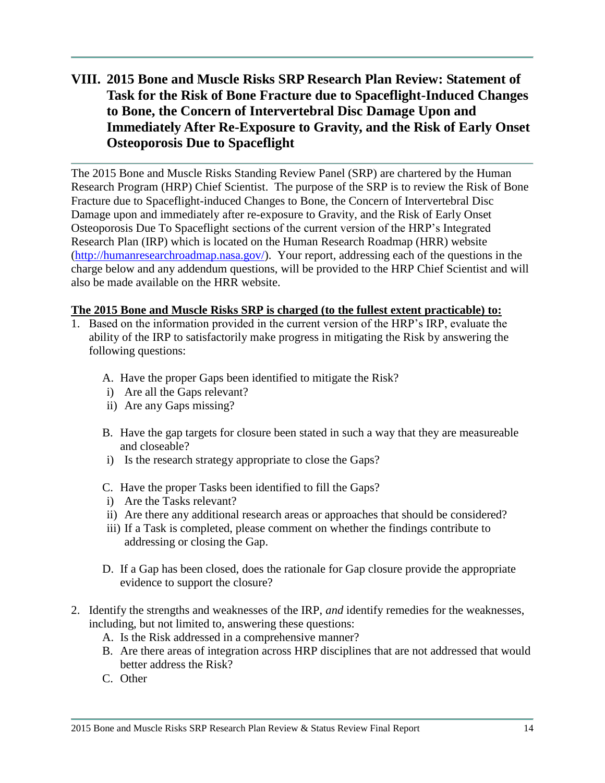# **VIII. 2015 Bone and Muscle Risks SRP Research Plan Review: Statement of Task for the Risk of Bone Fracture due to Spaceflight-Induced Changes to Bone, the Concern of Intervertebral Disc Damage Upon and Immediately After Re-Exposure to Gravity, and the Risk of Early Onset Osteoporosis Due to Spaceflight**

The 2015 Bone and Muscle Risks Standing Review Panel (SRP) are chartered by the Human Research Program (HRP) Chief Scientist. The purpose of the SRP is to review the Risk of Bone Fracture due to Spaceflight-induced Changes to Bone, the Concern of Intervertebral Disc Damage upon and immediately after re-exposure to Gravity, and the Risk of Early Onset Osteoporosis Due To Spaceflight sections of the current version of the HRP's Integrated Research Plan (IRP) which is located on the Human Research Roadmap (HRR) website [\(http://humanresearchroadmap.nasa.gov/\)](http://humanresearchroadmap.nasa.gov/). Your report, addressing each of the questions in the charge below and any addendum questions, will be provided to the HRP Chief Scientist and will also be made available on the HRR website.

#### **The 2015 Bone and Muscle Risks SRP is charged (to the fullest extent practicable) to:**

- 1. Based on the information provided in the current version of the HRP's IRP, evaluate the ability of the IRP to satisfactorily make progress in mitigating the Risk by answering the following questions:
	- A. Have the proper Gaps been identified to mitigate the Risk?
	- i) Are all the Gaps relevant?
	- ii) Are any Gaps missing?
	- B. Have the gap targets for closure been stated in such a way that they are measureable and closeable?
	- i) Is the research strategy appropriate to close the Gaps?
	- C. Have the proper Tasks been identified to fill the Gaps?
	- i) Are the Tasks relevant?
	- ii) Are there any additional research areas or approaches that should be considered?
	- iii) If a Task is completed, please comment on whether the findings contribute to addressing or closing the Gap.
	- D. If a Gap has been closed, does the rationale for Gap closure provide the appropriate evidence to support the closure?
- 2. Identify the strengths and weaknesses of the IRP, *and* identify remedies for the weaknesses, including, but not limited to, answering these questions:
	- A. Is the Risk addressed in a comprehensive manner?
	- B. Are there areas of integration across HRP disciplines that are not addressed that would better address the Risk?
	- C. Other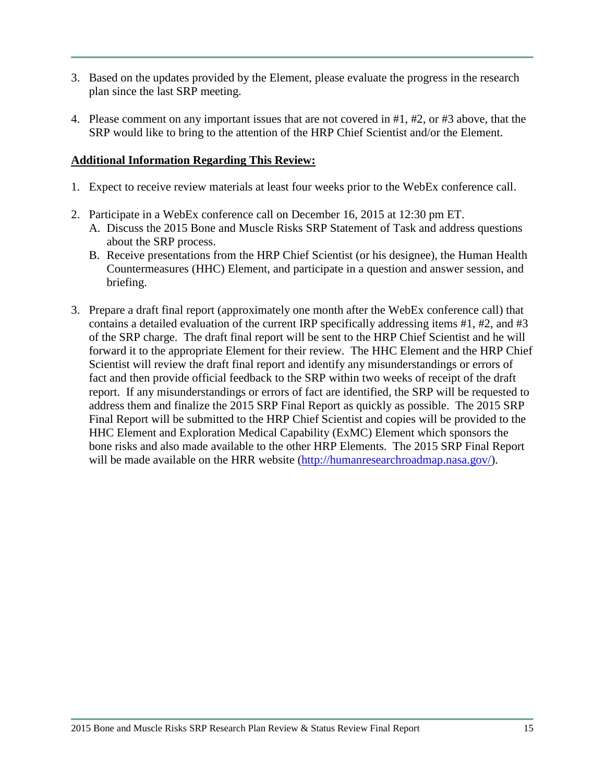- 3. Based on the updates provided by the Element, please evaluate the progress in the research plan since the last SRP meeting.
- 4. Please comment on any important issues that are not covered in #1, #2, or #3 above, that the SRP would like to bring to the attention of the HRP Chief Scientist and/or the Element.

#### **Additional Information Regarding This Review:**

- 1. Expect to receive review materials at least four weeks prior to the WebEx conference call.
- 2. Participate in a WebEx conference call on December 16, 2015 at 12:30 pm ET.
	- A. Discuss the 2015 Bone and Muscle Risks SRP Statement of Task and address questions about the SRP process.
	- B. Receive presentations from the HRP Chief Scientist (or his designee), the Human Health Countermeasures (HHC) Element, and participate in a question and answer session, and briefing.
- 3. Prepare a draft final report (approximately one month after the WebEx conference call) that contains a detailed evaluation of the current IRP specifically addressing items #1, #2, and #3 of the SRP charge. The draft final report will be sent to the HRP Chief Scientist and he will forward it to the appropriate Element for their review. The HHC Element and the HRP Chief Scientist will review the draft final report and identify any misunderstandings or errors of fact and then provide official feedback to the SRP within two weeks of receipt of the draft report. If any misunderstandings or errors of fact are identified, the SRP will be requested to address them and finalize the 2015 SRP Final Report as quickly as possible. The 2015 SRP Final Report will be submitted to the HRP Chief Scientist and copies will be provided to the HHC Element and Exploration Medical Capability (ExMC) Element which sponsors the bone risks and also made available to the other HRP Elements. The 2015 SRP Final Report will be made available on the HRR website [\(http://humanresearchroadmap.nasa.gov/\)](http://humanresearchroadmap.nasa.gov/).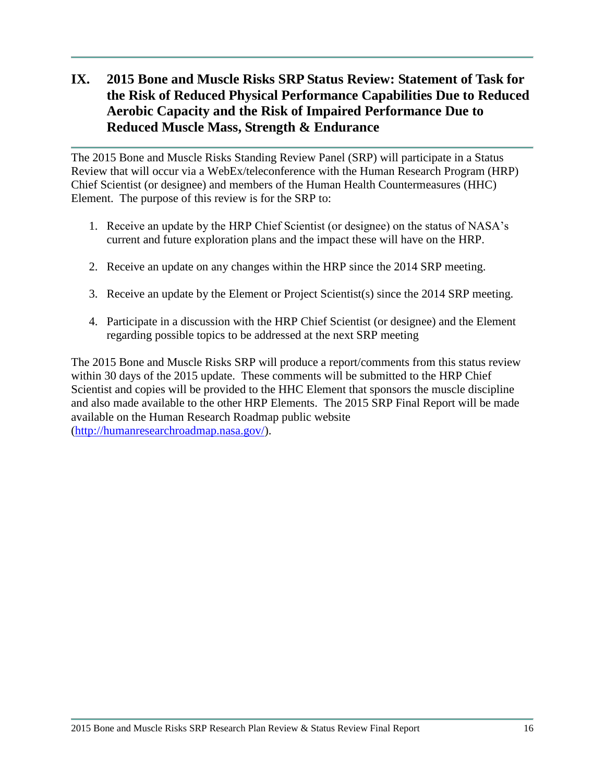# **IX. 2015 Bone and Muscle Risks SRP Status Review: Statement of Task for the Risk of Reduced Physical Performance Capabilities Due to Reduced Aerobic Capacity and the Risk of Impaired Performance Due to Reduced Muscle Mass, Strength & Endurance**

The 2015 Bone and Muscle Risks Standing Review Panel (SRP) will participate in a Status Review that will occur via a WebEx/teleconference with the Human Research Program (HRP) Chief Scientist (or designee) and members of the Human Health Countermeasures (HHC) Element. The purpose of this review is for the SRP to:

- 1. Receive an update by the HRP Chief Scientist (or designee) on the status of NASA's current and future exploration plans and the impact these will have on the HRP.
- 2. Receive an update on any changes within the HRP since the 2014 SRP meeting.
- 3. Receive an update by the Element or Project Scientist(s) since the 2014 SRP meeting.
- 4. Participate in a discussion with the HRP Chief Scientist (or designee) and the Element regarding possible topics to be addressed at the next SRP meeting

The 2015 Bone and Muscle Risks SRP will produce a report/comments from this status review within 30 days of the 2015 update. These comments will be submitted to the HRP Chief Scientist and copies will be provided to the HHC Element that sponsors the muscle discipline and also made available to the other HRP Elements. The 2015 SRP Final Report will be made available on the Human Research Roadmap public website [\(http://humanresearchroadmap.nasa.gov/\)](http://humanresearchroadmap.nasa.gov/).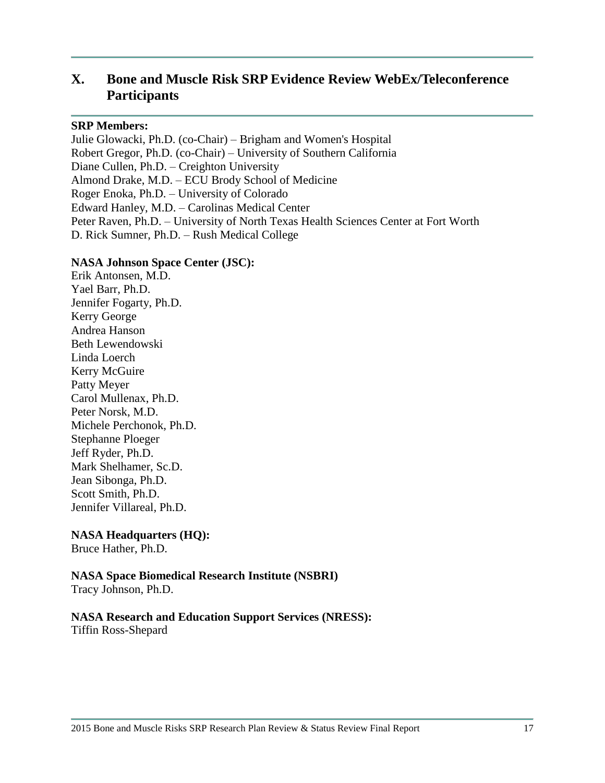# **X. Bone and Muscle Risk SRP Evidence Review WebEx/Teleconference Participants**

#### **SRP Members:**

Julie Glowacki, Ph.D. (co-Chair) – Brigham and Women's Hospital Robert Gregor, Ph.D. (co-Chair) – University of Southern California Diane Cullen, Ph.D. – Creighton University Almond Drake, M.D. – ECU Brody School of Medicine Roger Enoka, Ph.D. – University of Colorado Edward Hanley, M.D. – Carolinas Medical Center Peter Raven, Ph.D. – University of North Texas Health Sciences Center at Fort Worth D. Rick Sumner, Ph.D. – Rush Medical College

#### **NASA Johnson Space Center (JSC):**

Erik Antonsen, M.D. Yael Barr, Ph.D. Jennifer Fogarty, Ph.D. Kerry George Andrea Hanson Beth Lewendowski Linda Loerch Kerry McGuire Patty Meyer Carol Mullenax, Ph.D. Peter Norsk, M.D. Michele Perchonok, Ph.D. Stephanne Ploeger Jeff Ryder, Ph.D. Mark Shelhamer, Sc.D. Jean Sibonga, Ph.D. Scott Smith, Ph.D. Jennifer Villareal, Ph.D.

# **NASA Headquarters (HQ):**

Bruce Hather, Ph.D.

# **NASA Space Biomedical Research Institute (NSBRI)**

Tracy Johnson, Ph.D.

#### **NASA Research and Education Support Services (NRESS):** Tiffin Ross-Shepard